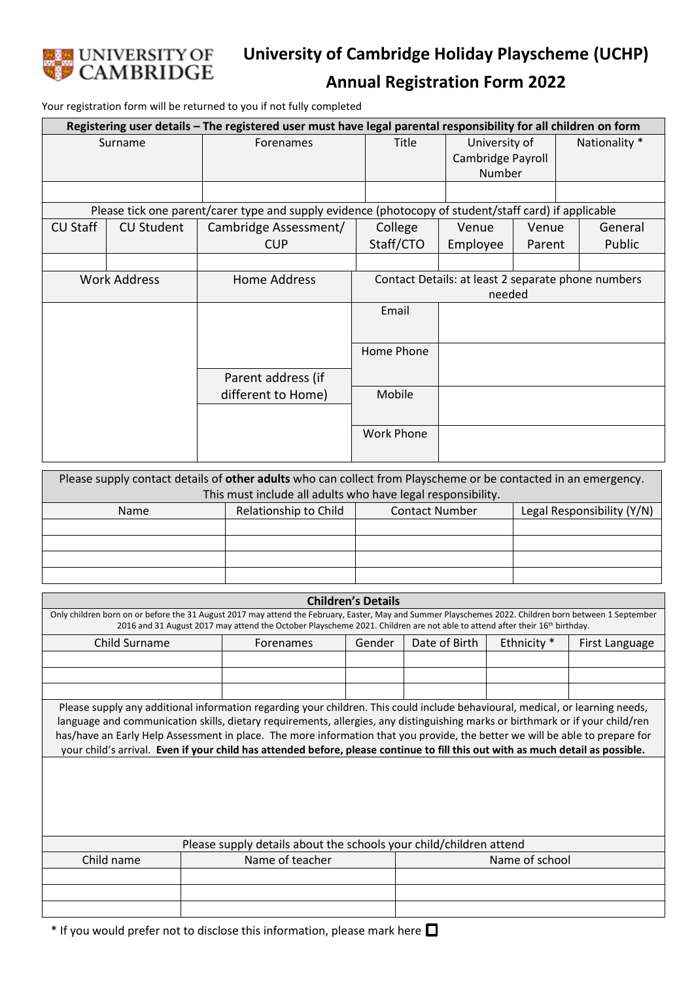

## **Annual Registration Form 2022**

Your registration form will be returned to you if not fully completed

| Registering user details - The registered user must have legal parental responsibility for all children on form |                   |                       |                                                    |                   |        |               |         |
|-----------------------------------------------------------------------------------------------------------------|-------------------|-----------------------|----------------------------------------------------|-------------------|--------|---------------|---------|
| Surname                                                                                                         |                   | Forenames             | Title<br>University of                             |                   |        | Nationality * |         |
|                                                                                                                 |                   |                       |                                                    | Cambridge Payroll |        |               |         |
|                                                                                                                 |                   |                       |                                                    | Number            |        |               |         |
|                                                                                                                 |                   |                       |                                                    |                   |        |               |         |
| Please tick one parent/carer type and supply evidence (photocopy of student/staff card) if applicable           |                   |                       |                                                    |                   |        |               |         |
| <b>CU Staff</b>                                                                                                 | <b>CU Student</b> | Cambridge Assessment/ | College                                            | Venue             | Venue  |               | General |
|                                                                                                                 |                   | <b>CUP</b>            | Staff/CTO                                          | Employee          | Parent |               | Public  |
|                                                                                                                 |                   |                       |                                                    |                   |        |               |         |
| <b>Work Address</b>                                                                                             |                   | <b>Home Address</b>   | Contact Details: at least 2 separate phone numbers |                   |        |               |         |
|                                                                                                                 |                   |                       | needed                                             |                   |        |               |         |
|                                                                                                                 |                   |                       | Email                                              |                   |        |               |         |
|                                                                                                                 |                   |                       |                                                    |                   |        |               |         |
|                                                                                                                 |                   |                       | Home Phone                                         |                   |        |               |         |
|                                                                                                                 |                   |                       |                                                    |                   |        |               |         |
|                                                                                                                 |                   | Parent address (if    |                                                    |                   |        |               |         |
|                                                                                                                 |                   | different to Home)    | Mobile                                             |                   |        |               |         |
|                                                                                                                 |                   |                       |                                                    |                   |        |               |         |
|                                                                                                                 |                   |                       | <b>Work Phone</b>                                  |                   |        |               |         |
|                                                                                                                 |                   |                       |                                                    |                   |        |               |         |

| Please supply contact details of other adults who can collect from Playscheme or be contacted in an emergency. |                       |                       |                            |  |  |
|----------------------------------------------------------------------------------------------------------------|-----------------------|-----------------------|----------------------------|--|--|
| This must include all adults who have legal responsibility.                                                    |                       |                       |                            |  |  |
| <b>Name</b>                                                                                                    | Relationship to Child | <b>Contact Number</b> | Legal Responsibility (Y/N) |  |  |
|                                                                                                                |                       |                       |                            |  |  |
|                                                                                                                |                       |                       |                            |  |  |
|                                                                                                                |                       |                       |                            |  |  |
|                                                                                                                |                       |                       |                            |  |  |

| <b>Children's Details</b>                                                                                                                                                                                                                                                                                                                                                                                                                                                                                                          |                 |        |                |             |                |  |
|------------------------------------------------------------------------------------------------------------------------------------------------------------------------------------------------------------------------------------------------------------------------------------------------------------------------------------------------------------------------------------------------------------------------------------------------------------------------------------------------------------------------------------|-----------------|--------|----------------|-------------|----------------|--|
| Only children born on or before the 31 August 2017 may attend the February, Easter, May and Summer Playschemes 2022. Children born between 1 September<br>2016 and 31 August 2017 may attend the October Playscheme 2021. Children are not able to attend after their 16th birthday.                                                                                                                                                                                                                                               |                 |        |                |             |                |  |
| Child Surname                                                                                                                                                                                                                                                                                                                                                                                                                                                                                                                      | Forenames       | Gender | Date of Birth  | Ethnicity * | First Language |  |
|                                                                                                                                                                                                                                                                                                                                                                                                                                                                                                                                    |                 |        |                |             |                |  |
|                                                                                                                                                                                                                                                                                                                                                                                                                                                                                                                                    |                 |        |                |             |                |  |
|                                                                                                                                                                                                                                                                                                                                                                                                                                                                                                                                    |                 |        |                |             |                |  |
| Please supply any additional information regarding your children. This could include behavioural, medical, or learning needs,<br>language and communication skills, dietary requirements, allergies, any distinguishing marks or birthmark or if your child/ren<br>has/have an Early Help Assessment in place. The more information that you provide, the better we will be able to prepare for<br>your child's arrival. Even if your child has attended before, please continue to fill this out with as much detail as possible. |                 |        |                |             |                |  |
|                                                                                                                                                                                                                                                                                                                                                                                                                                                                                                                                    |                 |        |                |             |                |  |
| Please supply details about the schools your child/children attend                                                                                                                                                                                                                                                                                                                                                                                                                                                                 |                 |        |                |             |                |  |
| Child name                                                                                                                                                                                                                                                                                                                                                                                                                                                                                                                         | Name of teacher |        | Name of school |             |                |  |
|                                                                                                                                                                                                                                                                                                                                                                                                                                                                                                                                    |                 |        |                |             |                |  |
|                                                                                                                                                                                                                                                                                                                                                                                                                                                                                                                                    |                 |        |                |             |                |  |
|                                                                                                                                                                                                                                                                                                                                                                                                                                                                                                                                    |                 |        |                |             |                |  |

 $*$  If you would prefer not to disclose this information, please mark here  $\square$